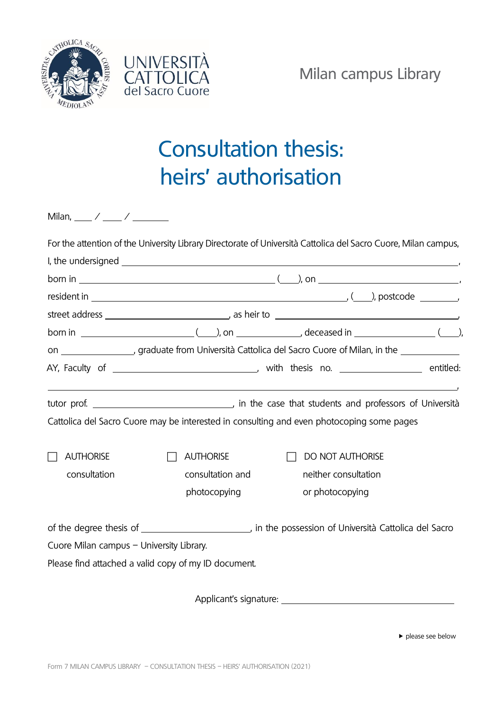



## Consultation thesis: heirs' authorisation

|                                                                                                           |                  | For the attention of the University Library Directorate of Università Cattolica del Sacro Cuore, Milan campus, |  |
|-----------------------------------------------------------------------------------------------------------|------------------|----------------------------------------------------------------------------------------------------------------|--|
|                                                                                                           |                  |                                                                                                                |  |
|                                                                                                           |                  |                                                                                                                |  |
|                                                                                                           |                  | resident in $\_\_\_\_\_\_\_$ , ( $\_\_\_$ ), postcode $\_\_\_\_\_$                                             |  |
|                                                                                                           |                  |                                                                                                                |  |
|                                                                                                           |                  |                                                                                                                |  |
| on ___________________, graduate from Università Cattolica del Sacro Cuore of Milan, in the _____________ |                  |                                                                                                                |  |
|                                                                                                           |                  |                                                                                                                |  |
|                                                                                                           |                  |                                                                                                                |  |
|                                                                                                           |                  |                                                                                                                |  |
|                                                                                                           |                  | Cattolica del Sacro Cuore may be interested in consulting and even photocoping some pages                      |  |
|                                                                                                           |                  |                                                                                                                |  |
| <b>AUTHORISE</b>                                                                                          | <b>AUTHORISE</b> | <b>DO NOT AUTHORISE</b>                                                                                        |  |
| consultation                                                                                              | consultation and | neither consultation                                                                                           |  |
|                                                                                                           | photocopying     | or photocopying                                                                                                |  |
|                                                                                                           |                  | of the degree thesis of _____________________________, in the possession of Università Cattolica del Sacro     |  |
| Cuore Milan campus - University Library.                                                                  |                  |                                                                                                                |  |
| Please find attached a valid copy of my ID document.                                                      |                  |                                                                                                                |  |
|                                                                                                           |                  |                                                                                                                |  |
|                                                                                                           |                  |                                                                                                                |  |

please see below